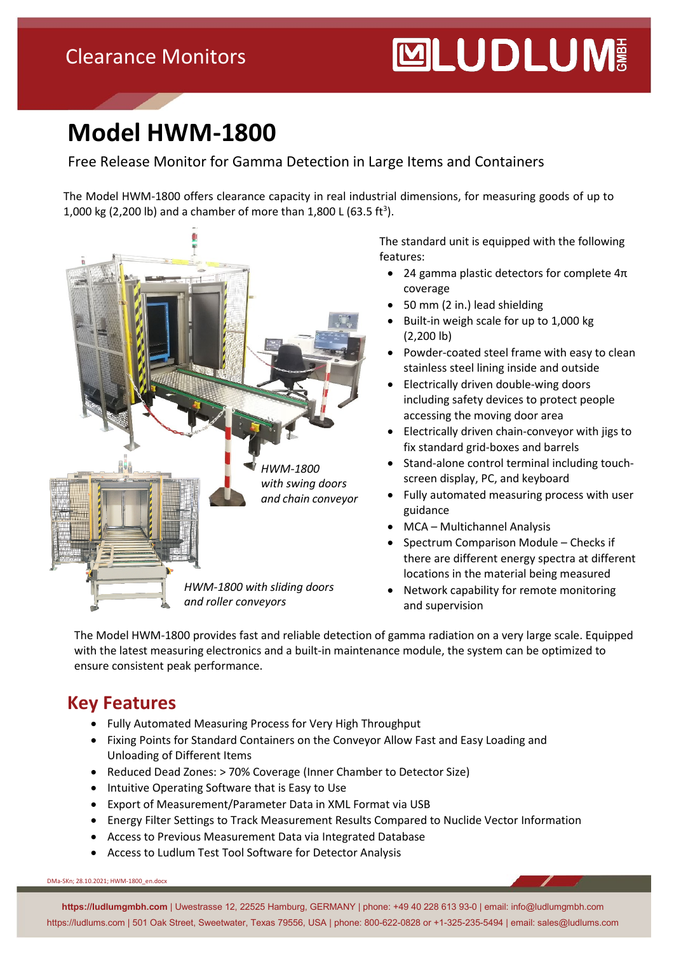## **Model HWM-1800**

#### Free Release Monitor for Gamma Detection in Large Items and Containers

The Model HWM-1800 offers clearance capacity in real industrial dimensions, for measuring goods of up to 1,000 kg (2,200 lb) and a chamber of more than  $1,800$  L (63.5 ft<sup>3</sup>).



The standard unit is equipped with the following features:

- 24 gamma plastic detectors for complete  $4\pi$ coverage
- 50 mm (2 in.) lead shielding
- Built-in weigh scale for up to 1,000 kg (2,200 lb)
- Powder-coated steel frame with easy to clean stainless steel lining inside and outside
- Electrically driven double-wing doors including safety devices to protect people accessing the moving door area
- Electrically driven chain-conveyor with jigs to fix standard grid-boxes and barrels
- Stand-alone control terminal including touchscreen display, PC, and keyboard
- Fully automated measuring process with user guidance
- MCA Multichannel Analysis
- Spectrum Comparison Module Checks if there are different energy spectra at different locations in the material being measured
- Network capability for remote monitoring and supervision

The Model HWM-1800 provides fast and reliable detection of gamma radiation on a very large scale. Equipped with the latest measuring electronics and a built-in maintenance module, the system can be optimized to ensure consistent peak performance.

#### **Key Features**

- Fully Automated Measuring Process for Very High Throughput
- Fixing Points for Standard Containers on the Conveyor Allow Fast and Easy Loading and Unloading of Different Items
- Reduced Dead Zones: > 70% Coverage (Inner Chamber to Detector Size)
- Intuitive Operating Software that is Easy to Use
- Export of Measurement/Parameter Data in XML Format via USB
- Energy Filter Settings to Track Measurement Results Compared to Nuclide Vector Information
- Access to Previous Measurement Data via Integrated Database
- Access to Ludlum Test Tool Software for Detector Analysis

DMa-SKn; 28.10.2021; HWM-1800\_en.docx

**https://ludlumgmbh.com** | Uwestrasse 12, 22525 Hamburg, GERMANY | phone: +49 40 228 613 93-0 | email: info@ludlumgmbh.com https://ludlums.com | 501 Oak Street, Sweetwater, Texas 79556, USA | phone: 800-622-0828 or +1-325-235-5494 | email: sales@ludlums.com